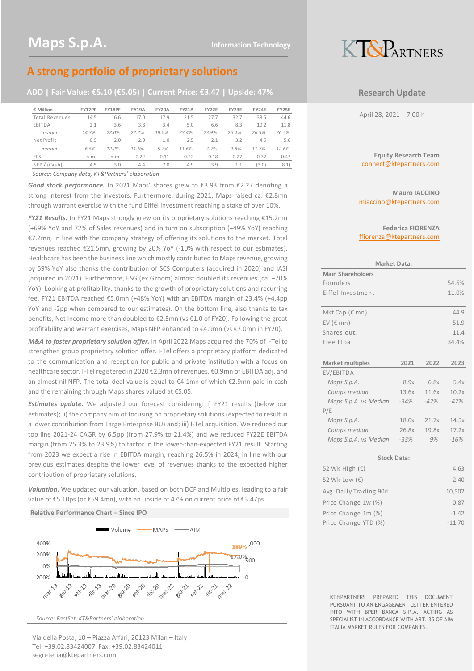## **A strong portfolio of proprietary solutions**

**ADD | Fair Value: €5.10 (€5.05) | Current Price: €3.47 | Upside: 47%**

| € Million      | FY17PF | FY18PF | <b>FY19A</b> | <b>FY20A</b> | <b>FY21A</b> | <b>FY22E</b> | <b>FY23E</b> | <b>FY24E</b> | FY25E |
|----------------|--------|--------|--------------|--------------|--------------|--------------|--------------|--------------|-------|
| Total Revenues | 14.5   | 16.6   | 17.0         | 17.9         | 21.5         | 27.7         | 32.7         | 38.5         | 44.6  |
| EBITDA         | 2.1    | 3.6    | 3.8          | 3.4          | 5.0          | 6.6          | 8.3          | 10.2         | 11.8  |
| margin         | 14.3%  | 22.0%  | 22.2%        | 19.0%        | 23.4%        | 23.9%        | 25.4%        | 26.5%        | 26.5% |
| Net Profit     | 0.9    | 2.0    | 2.0          | 1.0          | 2.5          | 2.1          | 3.2          | 4.5          | 5.6   |
| margin         | 6.5%   | 12.2%  | 11.6%        | 5.7%         | 11.6%        | 7.7%         | 9.8%         | 11.7%        | 12.6% |
| EPS            | n.m.   | n.m.   | 0.22         | 0.11         | 0.22         | 0.18         | 0.27         | 0.37         | 0.47  |
| NFP / (Cash)   | 4.5    | 3.0    | 4.4          | 7.0          | 4.9          | 3.9          | 1.1          | (3.0)        | (8.1) |

*Source: Company data, KT&Partners' elaboration*

*Good stock performance.* In 2021 Maps' shares grew to €3.93 from €2.27 denoting a strong interest from the investors. Furthermore, during 2021, Maps raised ca. €2.8mn through warrant exercise with the fund Eiffel investment reaching a stake of over 10%.

*FY21 Results.* In FY21 Maps strongly grew on its proprietary solutions reaching €15.2mn (+69% YoY and 72% of Sales revenues) and in turn on subscription (+49% YoY) reaching €7.2mn, in line with the company strategy of offering its solutions to the market. Total revenues reached €21.5mn, growing by 20% YoY (-10% with respect to our estimates). Healthcare has been the business line which mostly contributed to Maps revenue, growing by 59% YoY also thanks the contribution of SCS Computers (acquired in 2020) and IASI (acquired in 2021). Furthermore, ESG (ex Gzoom) almost doubled its revenues (ca. +70% YoY). Looking at profitability, thanks to the growth of proprietary solutions and recurring fee, FY21 EBITDA reached €5.0mn (+48% YoY) with an EBITDA margin of 23.4% (+4.4pp YoY and -2pp when compared to our estimates). On the bottom line, also thanks to tax benefits, Net Income more than doubled to €2.5mn (vs €1.0 of FY20). Following the great profitability and warrant exercises, Maps NFP enhanced to €4.9mn (vs €7.0mn in FY20).

*M&A to foster proprietary solution offer.* In April 2022 Maps acquired the 70% of I-Tel to strengthen group proprietary solution offer. I-Tel offers a proprietary platform dedicated to the communication and reception for public and private institution with a focus on healthcare sector. I-Tel registered in 2020 €2.3mn of revenues, €0.9mn of EBITDA adj. and an almost nil NFP. The total deal value is equal to €4.1mn of which €2.9mn paid in cash and the remaining through Maps shares valued at €5.05.

*Estimates update.* We adjusted our forecast considering: i) FY21 results (below our estimates); ii) the company aim of focusing on proprietary solutions (expected to result in a lower contribution from Large Enterprise BU) and; iii) I-Tel acquisition. We reduced our top line 2021-24 CAGR by 6.5pp (from 27.9% to 21.4%) and we reduced FY22E EBITDA margin (from 25.3% to 23.9%) to factor in the lower-than-expected FY21 result. Starting from 2023 we expect a rise in EBITDA margin, reaching 26.5% in 2024, in line with our previous estimates despite the lower level of revenues thanks to the expected higher contribution of proprietary solutions.

*Valuation.* We updated our valuation, based on both DCF and Multiples, leading to a fair value of €5.10ps (or €59.4mn), with an upside of 47% on current price of €3.47ps.

#### **Relative Performance Chart – Since IPO**



*Source: FactSet, KT&Partners' elaboration*

Via della Posta, 10 – Piazza Affari, 20123 Milan – Italy Tel: +39.02.83424007 Fax: +39.02.83424011 segreteria@ktepartners.com



### **Research Update**

April 28, 2021 – 7.00 h

**Equity Research Team** connect@ktepartners.com

**Mauro IACCINO** miaccino@ktepartners.com

#### **Federica FIORENZA** ffiorenza@ktepartners.com

|                          | <b>Market Data:</b> |         |        |
|--------------------------|---------------------|---------|--------|
| <b>Main Shareholders</b> |                     |         |        |
| Founders                 |                     |         | 54.6%  |
| Fiffel Investment        |                     |         | 11.0%  |
|                          |                     |         |        |
| Mkt Cap (€ mn)           |                     |         | 44.9   |
| EV ( $\epsilon$ mn)      |                     |         | 51.9   |
| Shares out.              |                     |         | 11.4   |
| Free Float               |                     |         | 34.4%  |
|                          |                     |         |        |
| <b>Market multiples</b>  | 2021                | 2022    | 2023   |
| EV/EBITDA                |                     |         |        |
| Maps S.p.A.              | 8.9x                | 6.8x    | 5.4x   |
| Comps median             | 13.6x               | 11.6x   | 10.2x  |
| Maps S.p.A. vs Median    | -34%                | $-42\%$ | $-47%$ |
|                          |                     |         |        |
| P/E                      |                     |         |        |
| Maps S.p.A.              | 18.0x               | 21.7x   | 14.5x  |
| Comps median             | 26.8x               | 19.8x   | 17.2x  |
| Maps S.p.A. vs Median    | $-33%$              | 9%      | $-16%$ |

| <b>Stock Data:</b>      |          |  |  |  |  |  |  |
|-------------------------|----------|--|--|--|--|--|--|
| 52 Wk High $(\epsilon)$ | 4.63     |  |  |  |  |  |  |
| 52 Wk Low (€)           | 2.40     |  |  |  |  |  |  |
| Avg. Daily Trading 90d  | 10,502   |  |  |  |  |  |  |
| Price Change 1w (%)     | 0.87     |  |  |  |  |  |  |
| Price Change 1m (%)     | $-1.42$  |  |  |  |  |  |  |
| Price Change YTD (%)    | $-11.70$ |  |  |  |  |  |  |

KT&PARTNERS PREPARED THIS DOCUMENT PURSUANT TO AN ENGAGEMENT LETTER ENTERED INTO WITH BPER BANCA S.P.A. ACTING AS SPECIALIST IN ACCORDANCE WITH ART. 35 OF AIM ITALIA MARKET RULES FOR COMPANIES.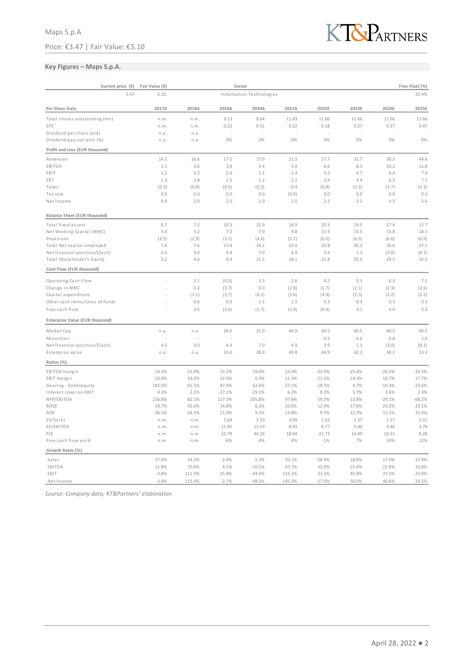

### **Key Figures – Maps S.p.A.**

| Current price $(\epsilon)$      |              | Sector | Free Float (%) |                          |        |          |       |          |          |
|---------------------------------|--------------|--------|----------------|--------------------------|--------|----------|-------|----------|----------|
|                                 | 3.47<br>5.10 |        |                | Information Technologies |        |          |       |          | 32.4%    |
| Per Share Data                  | 2017A        | 2018A  | 2019A          | 2020A                    | 2021A  | 2022E    | 2023E | 2024E    | 2025E    |
| Total shares outstanding (mn)   | n.m.         | n.m.   | 9.13           | 9.64                     | 11.43  | 11.66    | 11.66 | 11.66    | 11.66    |
| EPS                             | n.m.         | n.m.   | 0.22           | 0.11                     | 0.22   | 0.18     | 0.27  | 0.37     | 0.47     |
| Dividend per share (ord)        | n.a.         | n.a.   |                |                          |        |          |       |          |          |
| Dividend pay out ratio (%)      | n.a.         | n.a.   | 0%             | 0%                       | 0%     | 0%       | 0%    | 0%       | 0%       |
| Profit and Loss (EUR thousand)  |              |        |                |                          |        |          |       |          |          |
| Revenues                        | 14.5         | 16.6   | 17.0           | 17.9                     | 21.5   | 27.7     | 32.7  | 38.5     | 44.6     |
| EBITDA                          | 2.1          | 3.6    | 3.8            | 3.4                      | 5.0    | 6.6      | 8.3   | 10.2     | 11.8     |
| EBIT                            | 1.5          | 3.2    | 2.0            | 1.1                      | 2.4    | 3.2      | 4.7   | 6.4      | 7.9      |
| EBT                             | 1.3          | 2.8    | 2.5            | 1.2                      | 2.1    | 2.9      | 4.4   | 6.2      | 7.7      |
| Taxes                           | (0.3)        | (0.8)  | (0.5)          | (0.2)                    | 0.4    | (0.8)    | (1.2) | (1.7)    | (2.1)    |
| Tax rate                        | 0.0          | 0.0    | 0.0            | 0.0                      | (0.0)  | 0.0      | 0.0   | 0.0      | 0.0      |
| NetIncome                       | 0.9          | 2.0    | 2.0            | 1.0                      | 2.5    | 2.1      | 3.2   | 4.5      | 5.6      |
| Balance Sheet (EUR thousand)    |              |        |                |                          |        |          |       |          |          |
| Total fixed assets              | 6.7          | 7.2    | 10.3           | 15.9                     | 18.9   | 20.3     | 19.0  | 17.4     | 15.7     |
| Net Working Capital (NWC)       | 3.4          | 3.2    | 7.0            | 7.0                      | 9.8    | 11.4     | 13.5  | 15.8     | 18.3     |
| Provisions                      | (2.5)        | (2.9)  | (3.5)          | (4.6)                    | (5.7)  | (6.0)    | (6.3) | (6.6)    | (6.9)    |
| Total Net capital employed      | 7.6          | 7.6    | 13.8           | 18.2                     | 23.0   | 25.8     | 26.2  | 26.6     | 27.1     |
| Net financial position/(Cash)   | 4.5          | 3.0    | 4.4            | 7.0                      | 4.9    | 3.9      | 1.1   | (3.0)    | (8.1)    |
| Total Shareholder's Equity      | 3.2          | 4.6    | 9.4            | 11.2                     | 18.1   | 21.8     | 25.0  | 29.5     | 35.2     |
| Cash Flow (EUR thousand)        |              |        |                |                          |        |          |       |          |          |
| Operating Cash Flow             |              | 3.1    | (0.5)          | 3.3                      | 2.6    | 4.2      | 5.1   | 6.3      | 7.2      |
| Change in NWC                   |              | 0.2    | (3.7)          | 0.0                      | (2.8)  | (1.7)    | (2.1) | (2.3)    | (2.6)    |
| Capital expenditure             |              | (1.1)  | (2.7)          | (6.1)                    | (5.6)  | (4.9)    | (2.3) | (2.2)    | (2.2)    |
| Other cash items/Uses of funds  |              | 0.6    | 0.6            | 1.2                      | 1.1    | 0.3      | 0.3   | 0.3      | 0.3      |
| Free cash flow                  |              | 2.5    | (2.6)          | (1.7)                    | (1.9)  | (0.4)    | 3.1   | 4.4      | 5.3      |
| Enterprise Value (EUR thousand) |              |        |                |                          |        |          |       |          |          |
| Market Cap                      | n.a.         | n.a.   | 28.6           | 21.9                     | 44.9   | 40.5     | 40.5  | 40.5     | 40.5     |
| Minorities                      |              |        |                |                          |        | 0.5      | 0.6   | 0.8      | 1.0      |
| Net financial position/(Cash)   | 4.5          | 3.0    | 4.4            | 7.0                      | 4.9    | 3.9      | 1.1   | (3.0)    | (8.1)    |
| Enterprise value                | n.a.         | n.a.   | 33.0           | 28.9                     | 49.8   | 44.9     | 42.2  | 38.2     | 33.3     |
| Ratios (%)                      |              |        |                |                          |        |          |       |          |          |
| EBITDA margin                   | 14.3%        | 22.0%  | 22.2%          | 19.0%                    | 23.4%  | 23.9%    | 25.4% | 26.5%    | 26.5%    |
| EBIT margin                     | 10.4%        | 19.2%  | 12.0%          | 6.3%                     | 11.3%  | 11.5%    | 14.3% | 16.7%    | 17.7%    |
| Gearing - Debt/equity           | 142.5%       | 65.1%  | 47.4%          | 62.6%                    | 27.1%  | 18.5%    | 4.7%  | $-10.3%$ | $-23.6%$ |
| Interest cover on EBIT          | 4.1%         | 2.1%   | $-27.1%$       | $-29.1%$                 | 6.3%   | 8.3%     | 5.7%  | 3.6%     | 2.4%     |
| NFP/EBITDA                      | 216.8%       | 82.1%  | 117.3%         | 205.8%                   | 97.6%  | 59.5%    | 13.8% | $-29.1%$ | $-68.2%$ |
| ROCE                            | 19.7%        | 42.0%  | 14.8%          | 6.2%                     | 10.6%  | 12.4%    | 17.8% | 24.2%    | 29.1%    |
| ROE                             | 30.1%        | 44.1%  | 21.0%          | 9.1%                     | 13.8%  | 9.7%     | 12.7% | 15.1%    | 15.9%    |
| EV/Sales                        | n.m.         | n.m.   | 2.64           | 2.50                     | 2.09   | 1.62     | 1.37  | 1.17     | 1.01     |
| EV/EBITDA                       | n.m.         | n.m.   | 11.85          | 13.19                    | 8.93   | 6.77     | 5.40  | 4.40     | 3.79     |
| P/E                             | n.m.         | n.m.   | 22.79          | 44.26                    | 18.04  | 21.73    | 14.49 | 10.31    | 8.28     |
| Free cash flow yield            | n.m.         | n.m.   | $-6%$          | $-4%$                    | $-4%$  | $-1%$    | 7%    | 10%      | 12%      |
| Growth Rates (%)                |              |        |                |                          |        |          |       |          |          |
| Sales                           | 17.9%        | 14.2%  | 2.8%           | 5.3%                     | 20.1%  | 28.9%    | 18.0% | 17.6%    | 15.9%    |
| EBITDA                          | 11.8%        | 75.6%  | 4.1%           | $-10.1%$                 | 47.7%  | 32.0%    | 25.4% | 22.8%    | 15.8%    |
| EBIT                            | $-4.8%$      | 111.5% | $-35.8%$       | $-44.6%$                 | 115.1% | 31.5%    | 45.8% | 37.5%    | 23.0%    |
| NetIncome                       | $-3.6%$      | 113.4% | $-2.7%$        | $-48.5%$                 | 145.3% | $-17.0%$ | 50.0% | 40.6%    | 24.5%    |

*Source: Company data, KT&Partners' elaboration*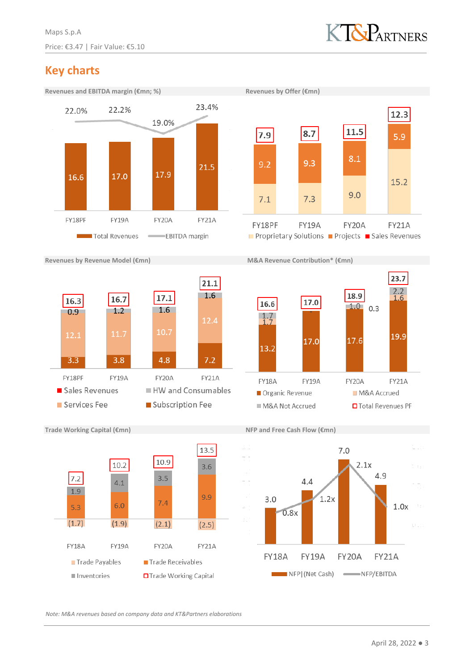

# **Key charts**





**Revenues by Revenue Model (€mn) M&A Revenue Contribution\* (€mn)**









### **Trade Working Capital (€mn) NFP and Free Cash Flow (€mn)**



*Note: M&A revenues based on company data and KT&Partners elaborations*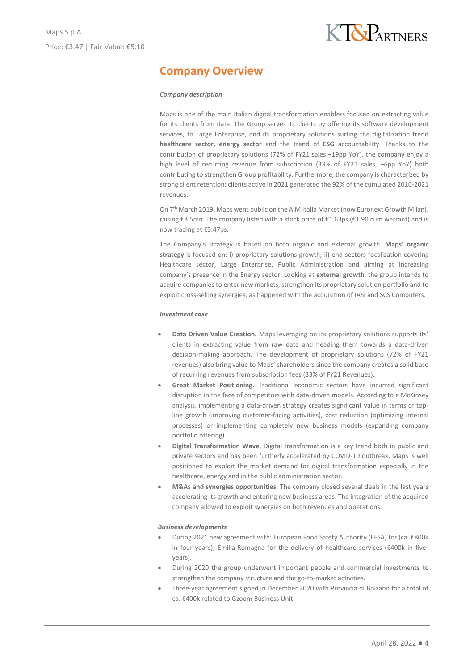## **Company Overview**

### *Company description*

Maps is one of the main Italian digital transformation enablers focused on extracting value for its clients from data. The Group serves its clients by offering its software development services, to Large Enterprise, and its proprietary solutions surfing the digitalization trend **healthcare sector, energy sector** and the trend of **ESG** accountability. Thanks to the contribution of proprietary solutions (72% of FY21 sales +19pp YoY), the company enjoy a high level of recurring revenue from subscription (33% of FY21 sales, +6pp YoY) both contributing to strengthen Group profitability. Furthermore, the company is characterized by strong client retention: clients active in 2021 generated the 92% of the cumulated 2016-2021 revenues.

On 7th March 2019, Maps went public on the AIM Italia Market (now Euronext Growth Milan), raising €3.5mn. The company listed with a stock price of €1.63ps (€1.90 cum warrant) and is now trading at €3.47ps.

The Company's strategy is based on both organic and external growth. **Maps' organic strategy** is focused on: i) proprietary solutions growth; ii) end-sectors focalization covering Healthcare sector, Large Enterprise, Public Administration and aiming at increasing company's presence in the Energy sector. Looking at **external growth**, the group intends to acquire companies to enter new markets, strengthen its proprietary solution portfolio and to exploit cross-selling synergies, as happened with the acquisition of IASI and SCS Computers.

#### *Investment case*

- **Data Driven Value Creation.** Maps leveraging on its proprietary solutions supports its' clients in extracting value from raw data and heading them towards a data-driven decision-making approach. The development of proprietary solutions (72% of FY21 revenues) also bring value to Maps' shareholders since the company creates a solid base of recurring revenues from subscription fees (33% of FY21 Revenues).
- **Great Market Positioning.** Traditional economic sectors have incurred significant disruption in the face of competitors with data-driven models. According to a McKinsey analysis, implementing a data-driven strategy creates significant value in terms of topline growth (improving customer-facing activities), cost reduction (optimizing internal processes) or implementing completely new business models (expanding company portfolio offering).
- **Digital Transformation Wave.** Digital transformation is a key trend both in public and private sectors and has been furtherly accelerated by COVID-19 outbreak. Maps is well positioned to exploit the market demand for digital transformation especially in the healthcare, energy and in the public administration sector.
- **M&As and synergies opportunities.** The company closed several deals in the last years accelerating its growth and entering new business areas. The integration of the acquired company allowed to exploit synergies on both revenues and operations.

### *Business developments*

- During 2021 new agreement with: European Food Safety Authority (EFSA) for (ca. €800k in four years); Emilia-Romagna for the delivery of healthcare services ( $\epsilon$ 400k in fiveyears).
- During 2020 the group underwent important people and commercial investments to strengthen the company structure and the go-to-market activities.
- Three-year agreement signed in December 2020 with Provincia di Bolzano for a total of ca. €400k related to Gzoom Business Unit.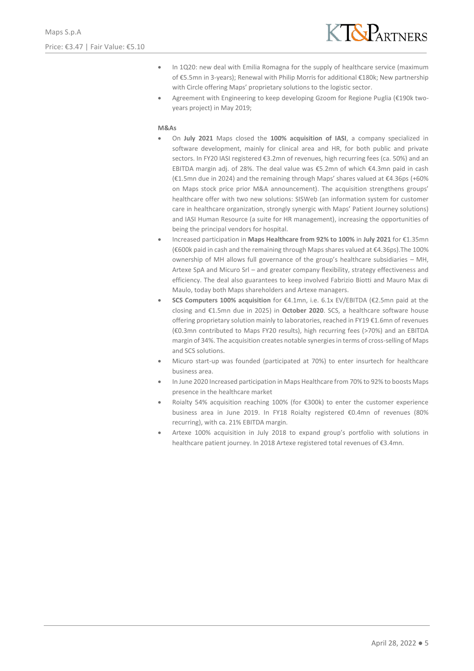

- In 1Q20: new deal with Emilia Romagna for the supply of healthcare service (maximum of €5.5mn in 3-years); Renewal with Philip Morris for additional €180k; New partnership with Circle offering Maps' proprietary solutions to the logistic sector.
- Agreement with Engineering to keep developing Gzoom for Regione Puglia (€190k twoyears project) in May 2019;

#### **M&As**

- On **July 2021** Maps closed the **100% acquisition of IASI**, a company specialized in software development, mainly for clinical area and HR, for both public and private sectors. In FY20 IASI registered €3.2mn of revenues, high recurring fees (ca. 50%) and an EBITDA margin adj. of 28%. The deal value was €5.2mn of which €4.3mn paid in cash (€1.5mn due in 2024) and the remaining through Maps' shares valued at €4.36ps (+60% on Maps stock price prior M&A announcement). The acquisition strengthens groups' healthcare offer with two new solutions: SISWeb (an information system for customer care in healthcare organization, strongly synergic with Maps' Patient Journey solutions) and IASI Human Resource (a suite for HR management), increasing the opportunities of being the principal vendors for hospital.
- Increased participation in **Maps Healthcare from 92% to 100%** in **July 2021** for €1.35mn (€600k paid in cash and the remaining through Maps shares valued at €4.36ps).The 100% ownership of MH allows full governance of the group's healthcare subsidiaries – MH, Artexe SpA and Micuro Srl – and greater company flexibility, strategy effectiveness and efficiency. The deal also guarantees to keep involved Fabrizio Biotti and Mauro Max di Maulo, today both Maps shareholders and Artexe managers.
- **SCS Computers 100% acquisition** for €4.1mn, i.e. 6.1x EV/EBITDA (€2.5mn paid at the closing and €1.5mn due in 2025) in **October 2020**. SCS, a healthcare software house offering proprietary solution mainly to laboratories, reached in FY19 €1.6mn of revenues (€0.3mn contributed to Maps FY20 results), high recurring fees (>70%) and an EBITDA margin of 34%. The acquisition creates notable synergies in terms of cross-selling of Maps and SCS solutions.
- Micuro start-up was founded (participated at 70%) to enter insurtech for healthcare business area.
- In June 2020 Increased participation in Maps Healthcare from 70% to 92% to boosts Maps presence in the healthcare market
- Roialty 54% acquisition reaching 100% (for  $E$ 300k) to enter the customer experience business area in June 2019. In FY18 Roialty registered €0.4mn of revenues (80% recurring), with ca. 21% EBITDA margin.
- Artexe 100% acquisition in July 2018 to expand group's portfolio with solutions in healthcare patient journey. In 2018 Artexe registered total revenues of €3.4mn.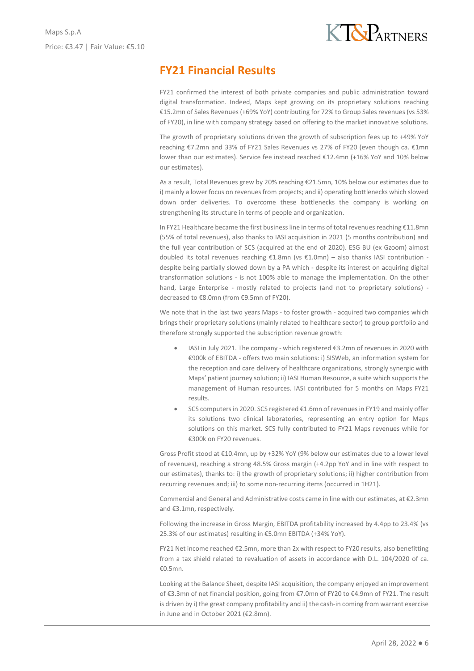# **FY21 Financial Results**

FY21 confirmed the interest of both private companies and public administration toward digital transformation. Indeed, Maps kept growing on its proprietary solutions reaching €15.2mn of Sales Revenues (+69% YoY) contributing for 72% to Group Sales revenues (vs 53% of FY20), in line with company strategy based on offering to the market innovative solutions.

The growth of proprietary solutions driven the growth of subscription fees up to +49% YoY reaching €7.2mn and 33% of FY21 Sales Revenues vs 27% of FY20 (even though ca. €1mn lower than our estimates). Service fee instead reached €12.4mn (+16% YoY and 10% below our estimates).

As a result, Total Revenues grew by 20% reaching €21.5mn, 10% below our estimates due to i) mainly a lower focus on revenues from projects; and ii) operating bottlenecks which slowed down order deliveries. To overcome these bottlenecks the company is working on strengthening its structure in terms of people and organization.

In FY21 Healthcare became the first business line in terms of total revenues reaching €11.8mn (55% of total revenues), also thanks to IASI acquisition in 2021 (5 months contribution) and the full year contribution of SCS (acquired at the end of 2020). ESG BU (ex Gzoom) almost doubled its total revenues reaching €1.8mn (vs €1.0mn) – also thanks IASI contribution despite being partially slowed down by a PA which - despite its interest on acquiring digital transformation solutions - is not 100% able to manage the implementation. On the other hand, Large Enterprise - mostly related to projects (and not to proprietary solutions) decreased to €8.0mn (from €9.5mn of FY20).

We note that in the last two years Maps - to foster growth - acquired two companies which brings their proprietary solutions (mainly related to healthcare sector) to group portfolio and therefore strongly supported the subscription revenue growth:

- IASI in July 2021. The company which registered €3.2mn of revenues in 2020 with €900k of EBITDA - offers two main solutions: i) SISWeb, an information system for the reception and care delivery of healthcare organizations, strongly synergic with Maps' patient journey solution; ii) IASI Human Resource, a suite which supports the management of Human resources. IASI contributed for 5 months on Maps FY21 results.
- SCS computers in 2020. SCS registered €1.6mn of revenues in FY19 and mainly offer its solutions two clinical laboratories, representing an entry option for Maps solutions on this market. SCS fully contributed to FY21 Maps revenues while for €300k on FY20 revenues.

Gross Profit stood at €10.4mn, up by +32% YoY (9% below our estimates due to a lower level of revenues), reaching a strong 48.5% Gross margin (+4.2pp YoY and in line with respect to our estimates), thanks to: i) the growth of proprietary solutions; ii) higher contribution from recurring revenues and; iii) to some non-recurring items (occurred in 1H21).

Commercial and General and Administrative costs came in line with our estimates, at €2.3mn and €3.1mn, respectively.

Following the increase in Gross Margin, EBITDA profitability increased by 4.4pp to 23.4% (vs 25.3% of our estimates) resulting in €5.0mn EBITDA (+34% YoY).

FY21 Net income reached €2.5mn, more than 2x with respect to FY20 results, also benefitting from a tax shield related to revaluation of assets in accordance with D.L. 104/2020 of ca. €0.5mn.

Looking at the Balance Sheet, despite IASI acquisition, the company enjoyed an improvement of €3.3mn of net financial position, going from €7.0mn of FY20 to €4.9mn of FY21. The result is driven by i) the great company profitability and ii) the cash-in coming from warrant exercise in June and in October 2021 (€2.8mn).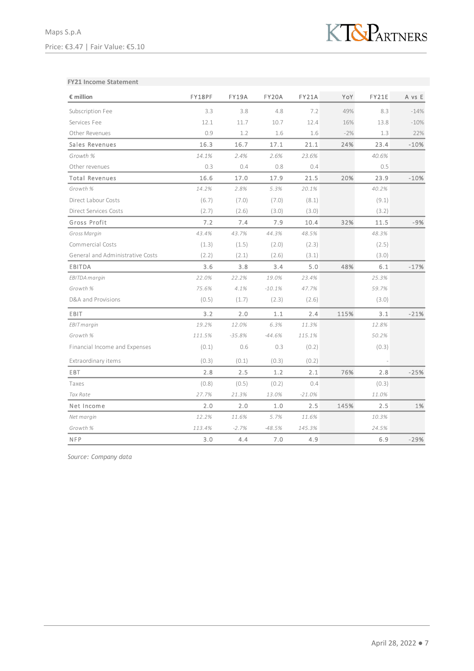

### **FY21 Income Statement**

| € million                        | FY18PF | FY19A    | FY20A    | FY21A    | YoY   | FY21E | A vs E |
|----------------------------------|--------|----------|----------|----------|-------|-------|--------|
| Subscription Fee                 | 3.3    | 3.8      | 4.8      | 7.2      | 49%   | 8.3   | $-14%$ |
| Services Fee                     | 12.1   | 11.7     | 10.7     | 12.4     | 16%   | 13.8  | $-10%$ |
| Other Revenues                   | 0.9    | 1.2      | 1.6      | 1.6      | $-2%$ | 1.3   | 22%    |
| Sales Revenues                   | 16.3   | 16.7     | 17.1     | 21.1     | 24%   | 23.4  | $-10%$ |
| Growth %                         | 14.1%  | 2.4%     | 2.6%     | 23.6%    |       | 40.6% |        |
| Other revenues                   | 0.3    | 0.4      | 0.8      | 0.4      |       | 0.5   |        |
| <b>Total Revenues</b>            | 16.6   | 17.0     | 17.9     | 21.5     | 20%   | 23.9  | $-10%$ |
| Growth %                         | 14.2%  | 2.8%     | 5.3%     | 20.1%    |       | 40.2% |        |
| Direct Labour Costs              | (6.7)  | (7.0)    | (7.0)    | (8.1)    |       | (9.1) |        |
| <b>Direct Services Costs</b>     | (2.7)  | (2.6)    | (3.0)    | (3.0)    |       | (3.2) |        |
| Gross Profit                     | 7.2    | 7.4      | 7.9      | 10.4     | 32%   | 11.5  | $-9%$  |
| Gross Margin                     | 43.4%  | 43.7%    | 44.3%    | 48.5%    |       | 48.3% |        |
| Commercial Costs                 | (1.3)  | (1.5)    | (2.0)    | (2.3)    |       | (2.5) |        |
| General and Administrative Costs | (2.2)  | (2.1)    | (2.6)    | (3.1)    |       | (3.0) |        |
| EBITDA                           | 3.6    | 3.8      | 3.4      | 5.0      | 48%   | 6.1   | $-17%$ |
| EBITDA margin                    | 22.0%  | 22.2%    | 19.0%    | 23.4%    |       | 25.3% |        |
| Growth %                         | 75.6%  | 4.1%     | $-10.1%$ | 47.7%    |       | 59.7% |        |
| D&A and Provisions               | (0.5)  | (1.7)    | (2.3)    | (2.6)    |       | (3.0) |        |
| EBIT                             | 3.2    | 2.0      | 1.1      | 2.4      | 115%  | 3.1   | $-21%$ |
| <b>EBIT</b> margin               | 19.2%  | 12.0%    | 6.3%     | 11.3%    |       | 12.8% |        |
| Growth %                         | 111.5% | $-35.8%$ | $-44.6%$ | 115.1%   |       | 50.2% |        |
| Financial Income and Expenses    | (0.1)  | 0.6      | 0.3      | (0.2)    |       | (0.3) |        |
| Extraordinary items              | (0.3)  | (0.1)    | (0.3)    | (0.2)    |       |       |        |
| EBT                              | 2.8    | 2.5      | 1.2      | 2.1      | 76%   | 2.8   | $-25%$ |
| Taxes                            | (0.8)  | (0.5)    | (0.2)    | 0.4      |       | (0.3) |        |
| Tax Rate                         | 27.7%  | 21.3%    | 13.0%    | $-21.0%$ |       | 11.0% |        |
| Net Income                       | 2.0    | 2.0      | 1.0      | 2.5      | 145%  | 2.5   | 1%     |
| Net margin                       | 12.2%  | 11.6%    | 5.7%     | 11.6%    |       | 10.3% |        |
| Growth %                         | 113.4% | $-2.7%$  | $-48.5%$ | 145.3%   |       | 24.5% |        |
| <b>NFP</b>                       | 3.0    | 4.4      | 7.0      | 4.9      |       | 6.9   | $-29%$ |

*Source: Company data*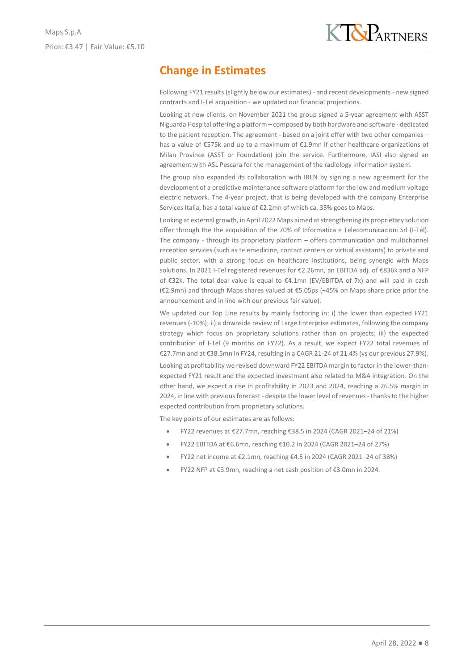# **Change in Estimates**

Following FY21 results (slightly below our estimates) - and recent developments - new signed contracts and I-Tel acquisition - we updated our financial projections.

Looking at new clients, on November 2021 the group signed a 5-year agreement with ASST Niguarda Hospital offering a platform – composed by both hardware and software - dedicated to the patient reception. The agreement - based on a joint offer with two other companies – has a value of €575k and up to a maximum of €1.9mn if other healthcare organizations of Milan Province (ASST or Foundation) join the service. Furthermore, IASI also signed an agreement with ASL Pescara for the management of the radiology information system.

The group also expanded its collaboration with IREN by signing a new agreement for the development of a predictive maintenance software platform for the low and medium voltage electric network. The 4-year project, that is being developed with the company Enterprise Services Italia, has a total value of €2.2mn of which ca. 35% goes to Maps.

Looking at external growth, in April 2022 Maps aimed at strengthening its proprietary solution offer through the the acquisition of the 70% of Informatica e Telecomunicazioni Srl (I-Tel). The company - through its proprietary platform – offers communication and multichannel reception services (such as telemedicine, contact centers or virtual assistants) to private and public sector, with a strong focus on healthcare institutions, being synergic with Maps solutions. In 2021 I-Tel registered revenues for €2.26mn, an EBITDA adj. of €836k and a NFP of €32k. The total deal value is equal to €4.1mn (EV/EBITDA of 7x) and will paid in cash (€2.9mn) and through Maps shares valued at €5.05ps (+45% on Maps share price prior the announcement and in line with our previous fair value).

We updated our Top Line results by mainly factoring in: i) the lower than expected FY21 revenues (-10%); ii) a downside review of Large Enterprise estimates, following the company strategy which focus on proprietary solutions rather than on projects; iii) the expected contribution of I-Tel (9 months on FY22). As a result, we expect FY22 total revenues of €27.7mn and at €38.5mn in FY24, resulting in a CAGR 21-24 of 21.4% (vs our previous 27.9%).

Looking at profitability we revised downward FY22 EBITDA margin to factor in the lower-thanexpected FY21 result and the expected investment also related to M&A integration. On the other hand, we expect a rise in profitability in 2023 and 2024, reaching a 26.5% margin in 2024, in line with previous forecast - despite the lower level of revenues - thanks to the higher expected contribution from proprietary solutions.

The key points of our estimates are as follows:

- FY22 revenues at €27.7mn, reaching €38.5 in 2024 (CAGR 2021–24 of 21%)
- FY22 EBITDA at €6.6mn, reaching €10.2 in 2024 (CAGR 2021–24 of 27%)
- FY22 net income at €2.1mn, reaching €4.5 in 2024 (CAGR 2021–24 of 38%)
- FY22 NFP at €3.9mn, reaching a net cash position of €3.0mn in 2024.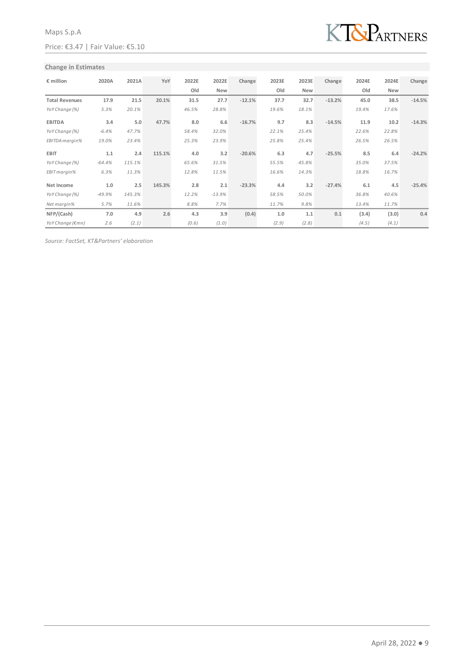

### **Change in Estimates**

| $\epsilon$ million    | 2020A    | 2021A  | YoY    | 2022E | 2022E      | Change   | 2023E | 2023E      | Change   | 2024E | 2024E      | Change   |
|-----------------------|----------|--------|--------|-------|------------|----------|-------|------------|----------|-------|------------|----------|
|                       |          |        |        | Old   | <b>New</b> |          | Old   | <b>New</b> |          | Old   | <b>New</b> |          |
| <b>Total Revenues</b> | 17.9     | 21.5   | 20.1%  | 31.5  | 27.7       | $-12.1%$ | 37.7  | 32.7       | $-13.2%$ | 45.0  | 38.5       | $-14.5%$ |
| YoY Change (%)        | 5.3%     | 20.1%  |        | 46.5% | 28.8%      |          | 19.6% | 18.1%      |          | 19.4% | 17.6%      |          |
| <b>EBITDA</b>         | 3.4      | 5.0    | 47.7%  | 8.0   | 6.6        | $-16.7%$ | 9.7   | 8.3        | $-14.5%$ | 11.9  | 10.2       | $-14.3%$ |
| YoY Change (%)        | $-6.4%$  | 47.7%  |        | 58.4% | 32.0%      |          | 22.1% | 25.4%      |          | 22.6% | 22.8%      |          |
| EBITDA margin%        | 19.0%    | 23.4%  |        | 25.3% | 23.9%      |          | 25.8% | 25.4%      |          | 26.5% | 26.5%      |          |
| <b>EBIT</b>           | 1.1      | 2.4    | 115.1% | 4.0   | 3.2        | $-20.6%$ | 6.3   | 4.7        | $-25.5%$ | 8.5   | 6.4        | $-24.2%$ |
| YoY Change (%)        | $-64.4%$ | 115.1% |        | 65.6% | 31.5%      |          | 55.5% | 45.8%      |          | 35.0% | 37.5%      |          |
| EBIT margin%          | 6.3%     | 11.3%  |        | 12.8% | 11.5%      |          | 16.6% | 14.3%      |          | 18.8% | 16.7%      |          |
| Net Income            | 1.0      | 2.5    | 145.3% | 2.8   | 2.1        | $-23.3%$ | 4.4   | 3.2        | $-27.4%$ | 6.1   | 4.5        | $-25.4%$ |
| YoY Change (%)        | $-49.9%$ | 145.3% |        | 12.2% | $-13.9%$   |          | 58.5% | 50.0%      |          | 36.8% | 40.6%      |          |
| Net margin%           | 5.7%     | 11.6%  |        | 8.8%  | 7.7%       |          | 11.7% | 9.8%       |          | 13.4% | 11.7%      |          |
| NFP/(Cash)            | 7.0      | 4.9    | 2.6    | 4.3   | 3.9        | (0.4)    | 1.0   | 1.1        | 0.1      | (3.4) | (3.0)      | 0.4      |
| YoY Change (€mn)      | 2.6      | (2.1)  |        | (0.6) | (1.0)      |          | (2.9) | (2.8)      |          | (4.5) | (4.1)      |          |

*Source: FactSet, KT&Partners' elaboration*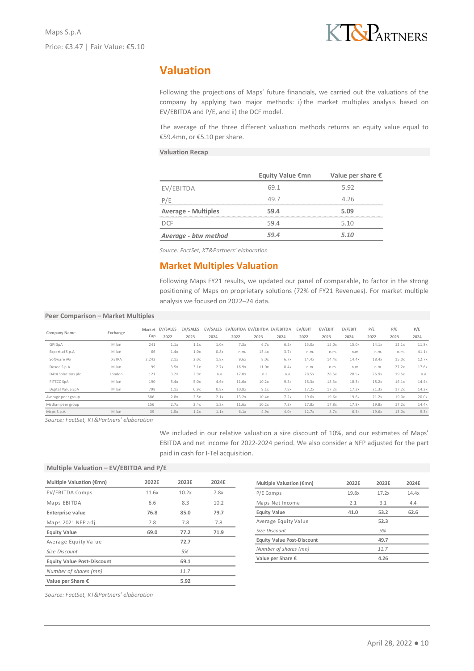## **Valuation**

Following the projections of Maps' future financials, we carried out the valuations of the company by applying two major methods: i) the market multiples analysis based on EV/EBITDA and P/E, and ii) the DCF model.

The average of the three different valuation methods returns an equity value equal to €59.4mn, or €5.10 per share.

### **Valuation Recap**

|                            | Equity Value €mn | Value per share $\epsilon$ |
|----------------------------|------------------|----------------------------|
| EV/EBITDA                  | 69.1             | 5.92                       |
| P/F                        | 49.7             | 4.26                       |
| <b>Average - Multiples</b> | 59.4             | 5.09                       |
| DCE                        | 59.4             | 5.10                       |
| Average - btw method       | 59 A             | 5.10                       |

*Source: FactSet, KT&Partners' elaboration*

### **Market Multiples Valuation**

Following Maps FY21 results, we updated our panel of comparable, to factor in the strong positioning of Maps on proprietary solutions (72% of FY21 Revenues). For market multiple analysis we focused on 2022–24 data.

### **Peer Comparison – Market Multiples**

| Company Name       | Exchange     | Market<br>Cap | EV/SALES<br>2022 | <b>EV/SALES</b><br>2023 | 2024 | EV/SALES EV/EBITDA EV/EBITDA EV/EBITDA<br>2022 | 2023  | 2024 | EV/EBIT<br>2022 | EV/EBIT<br>2023 | EV/EBIT<br>2024 | P/E<br>2022 | P/E<br>2023 | P/E<br>2024 |
|--------------------|--------------|---------------|------------------|-------------------------|------|------------------------------------------------|-------|------|-----------------|-----------------|-----------------|-------------|-------------|-------------|
| <b>GPI SpA</b>     | Milan        | 241           | 1.1x             | 1.1x                    | 1.0x | 7.3x                                           | 6.7x  | 6.2x | 15.0x           | 15.0x           | 15.0x           | 14.1x       | 12.1x       | 11.8x       |
| Expert.ai S.p.A.   | Milan        | 66            | 1.4x             | 1.0x                    | 0.8x | n.m.                                           | 13.4x | 3.7x | n.m.            | n.m.            | n.m.            | n.m.        | n.m.        | 41.1x       |
| Software AG        | <b>XETRA</b> | 2,242         | 2.1x             | 2.0x                    | 1.8x | 9.6x                                           | 8.0x  | 6.7x | 14.4x           | 14.4x           | 14.4x           | 18.4x       | 15.0x       | 12.7x       |
| Doxee S.p.A.       | Milan        | 99            | 3.5x             | 3.1x                    | 2.7x | 16.9x                                          | 11.0x | 8.4x | n.m.            | n.m.            | n.m.            | n.m.        | 27.2x       | 17.6x       |
| D4t4 Solutions plc | London       | 121           | 3.2x             | 2.9x                    | n.a. | 17.0x                                          | n.a.  | n.a. | 28.5x           | 28.5x           | 28.5x           | 26.9x       | 19.5x       | n.a.        |
| PITECO SpA         | Milan        | 190           | 5.4x             | 5.0x                    | 4.6x | 11.6x                                          | 10.2x | 9.3x | 18.3x           | 18.3x           | 18.3x           | 18.2x       | 16.1x       | 14.4x       |
| Digital Value SpA  | Milan        | 798           | 1.1x             | 0.9x                    | 0.8x | 10.8x                                          | 9.1x  | 7.8x | 17.2x           | 17.2x           | 17.2x           | 21.3x       | 17.2x       | 14.2x       |
| Average peer group |              | 586           | 2.8x             | 2.5x                    | 2.1x | 13.2x                                          | 10.4x | 7.2x | 19.6x           | 19.6x           | 19.6x           | 21.2x       | 19.0x       | 20.0x       |
| Median peer group  |              | 156           | 2.7x             | 2.4x                    | 1.8x | 11.6x                                          | 10.2x | 7.8x | 17.8x           | 17.8x           | 17.8x           | 19.8x       | 17.2x       | 14.4x       |
| Maps S.p.A.        | Milan        | 39            | 1.5x             | 1.2x                    | 1.1x | 6.1x                                           | 4.9x  | 4.0x | 12.7x           | 8.7x            | 6.3x            | 19.6x       | 13.0x       | 9.3x        |

*Source: FactSet, KT&Partners' elaboration*

We included in our relative valuation a size discount of 10%, and our estimates of Maps' EBITDA and net income for 2022-2024 period. We also consider a NFP adjusted for the part paid in cash for I-Tel acquisition.

### **Multiple Valuation – EV/EBITDA and P/E**

| Multiple Valuation (€mn)          | 2022E | 2023E | 2024E |
|-----------------------------------|-------|-------|-------|
| EV/EBITDA Comps                   | 11.6x | 10.2x | 7.8x  |
| Maps EBITDA                       | 6.6   | 8.3   | 10.2  |
| <b>Enterprise value</b>           | 76.8  | 85.0  | 79.7  |
| Maps 2021 NFP adj.                | 7.8   | 7.8   | 7.8   |
| <b>Equity Value</b>               | 69.0  | 77.2  | 71.9  |
| Average Equity Value              |       | 72.7  |       |
| Size Discount                     |       | 5%    |       |
| <b>Equity Value Post-Discount</b> |       | 69.1  |       |
| Number of shares (mn)             |       | 11.7  |       |
| Value per Share $\epsilon$        |       | 5.92  |       |
|                                   |       |       |       |

| Multiple Valuation (€mn)          | 2022F | 2023E | 2024F |
|-----------------------------------|-------|-------|-------|
| P/E Comps                         | 19.8x | 17.2x | 14.4x |
| Maps Net Income                   | 2.1   | 3.1   | 4.4   |
| <b>Equity Value</b>               | 41.0  | 53.2  | 62.6  |
| Average Equity Value              |       | 52.3  |       |
| Size Discount                     |       | 5%    |       |
| <b>Equity Value Post-Discount</b> |       | 49.7  |       |
| Number of shares (mn)             |       | 11.7  |       |
| Value per Share €                 |       | 4.26  |       |

*Source: FactSet, KT&Partners' elaboration*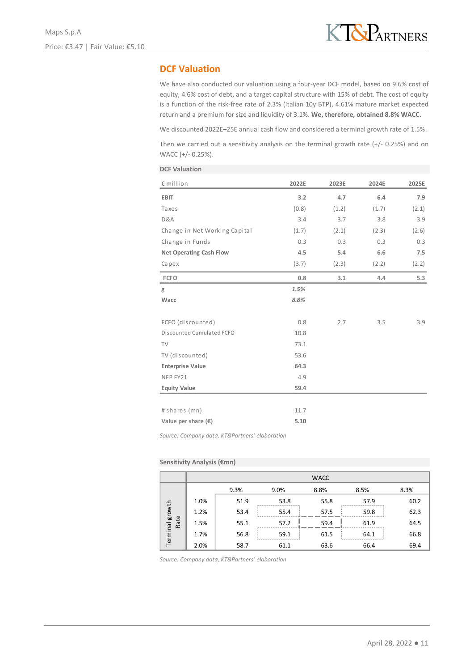### **DCF Valuation**

We have also conducted our valuation using a four-year DCF model, based on 9.6% cost of equity, 4.6% cost of debt, and a target capital structure with 15% of debt. The cost of equity is a function of the risk-free rate of 2.3% (Italian 10y BTP), 4.61% mature market expected return and a premium for size and liquidity of 3.1%. **We, therefore, obtained 8.8% WACC.**

We discounted 2022E–25E annual cash flow and considered a terminal growth rate of 1.5%.

Then we carried out a sensitivity analysis on the terminal growth rate (+/- 0.25%) and on WACC (+/- 0.25%).

| <b>DCF Valuation</b>           |       |       |       |       |
|--------------------------------|-------|-------|-------|-------|
| $\epsilon$ million             | 2022E | 2023E | 2024E | 2025E |
| <b>EBIT</b>                    | 3.2   | 4.7   | 6.4   | 7.9   |
| Taxes                          | (0.8) | (1.2) | (1.7) | (2.1) |
| D&A                            | 3.4   | 3.7   | 3.8   | 3.9   |
| Change in Net Working Capital  | (1.7) | (2.1) | (2.3) | (2.6) |
| Change in Funds                | 0.3   | 0.3   | 0.3   | 0.3   |
| <b>Net Operating Cash Flow</b> | 4.5   | 5.4   | 6.6   | 7.5   |
| Capex                          | (3.7) | (2.3) | (2.2) | (2.2) |
| <b>FCFO</b>                    | 0.8   | 3.1   | 4.4   | 5.3   |
| g                              | 1.5%  |       |       |       |
| Wacc                           | 8.8%  |       |       |       |
| FCFO (discounted)              | 0.8   | 2.7   | 3.5   | 3.9   |
| Discounted Cumulated FCFO      | 10.8  |       |       |       |
| TV                             | 73.1  |       |       |       |
| TV (discounted)                | 53.6  |       |       |       |
| <b>Enterprise Value</b>        | 64.3  |       |       |       |
| NFP FY21                       | 4.9   |       |       |       |
| <b>Equity Value</b>            | 59.4  |       |       |       |
|                                |       |       |       |       |
| # shares (mn)                  | 11.7  |       |       |       |
| Value per share $(\epsilon)$   | 5.10  |       |       |       |

*Source: Company data, KT&Partners' elaboration*

#### **Sensitivity Analysis (€mn)**

|                 |      |      |      | <b>WACC</b> |      |      |
|-----------------|------|------|------|-------------|------|------|
|                 |      | 9.3% | 9.0% | 8.8%        | 8.5% | 8.3% |
|                 | 1.0% | 51.9 | 53.8 | 55.8        | 57.9 | 60.2 |
|                 | 1.2% | 53.4 | 55.4 | 57.5        | 59.8 | 62.3 |
| Rate            | 1.5% | 55.1 | 57.2 | 59.4        | 61.9 | 64.5 |
| Terminal growth | 1.7% | 56.8 | 59.1 | 61.5        | 64.1 | 66.8 |
|                 | 2.0% | 58.7 | 61.1 | 63.6        | 66.4 | 69.4 |

*Source: Company data, KT&Partners' elaboration*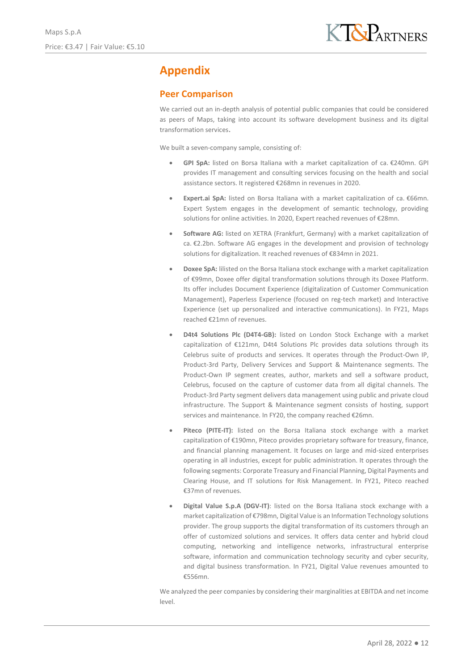# **Appendix**

### **Peer Comparison**

We carried out an in-depth analysis of potential public companies that could be considered as peers of Maps, taking into account its software development business and its digital transformation services.

We built a seven-company sample, consisting of:

- **GPI SpA:** listed on Borsa Italiana with a market capitalization of ca. €240mn. GPI provides IT management and consulting services focusing on the health and social assistance sectors. It registered €268mn in revenues in 2020.
- **Expert.ai SpA:** listed on Borsa Italiana with a market capitalization of ca. €66mn. Expert System engages in the development of semantic technology, providing solutions for online activities. In 2020, Expert reached revenues of €28mn.
- **Software AG:** listed on XETRA (Frankfurt, Germany) with a market capitalization of ca. €2.2bn. Software AG engages in the development and provision of technology solutions for digitalization. It reached revenues of €834mn in 2021.
- **Doxee SpA:** lilisted on the Borsa Italiana stock exchange with a market capitalization of €99mn, Doxee offer digital transformation solutions through its Doxee Platform. Its offer includes Document Experience (digitalization of Customer Communication Management), Paperless Experience (focused on reg-tech market) and Interactive Experience (set up personalized and interactive communications). In FY21, Maps reached €21mn of revenues.
- **D4t4 Solutions Plc (D4T4-GB):** listed on London Stock Exchange with a market capitalization of €121mn, D4t4 Solutions Plc provides data solutions through its Celebrus suite of products and services. It operates through the Product-Own IP, Product-3rd Party, Delivery Services and Support & Maintenance segments. The Product-Own IP segment creates, author, markets and sell a software product, Celebrus, focused on the capture of customer data from all digital channels. The Product-3rd Party segment delivers data management using public and private cloud infrastructure. The Support & Maintenance segment consists of hosting, support services and maintenance. In FY20, the company reached €26mn.
- Piteco (PITE-IT): listed on the Borsa Italiana stock exchange with a market capitalization of €190mn, Piteco provides proprietary software for treasury, finance, and financial planning management. It focuses on large and mid-sized enterprises operating in all industries, except for public administration. It operates through the following segments: Corporate Treasury and Financial Planning, Digital Payments and Clearing House, and IT solutions for Risk Management. In FY21, Piteco reached €37mn of revenues.
- **Digital Value S.p.A (DGV-IT)**: listed on the Borsa Italiana stock exchange with a market capitalization of €798mn, Digital Value is an Information Technology solutions provider. The group supports the digital transformation of its customers through an offer of customized solutions and services. It offers data center and hybrid cloud computing, networking and intelligence networks, infrastructural enterprise software, information and communication technology security and cyber security, and digital business transformation. In FY21, Digital Value revenues amounted to €556mn.

We analyzed the peer companies by considering their marginalities at EBITDA and net income level.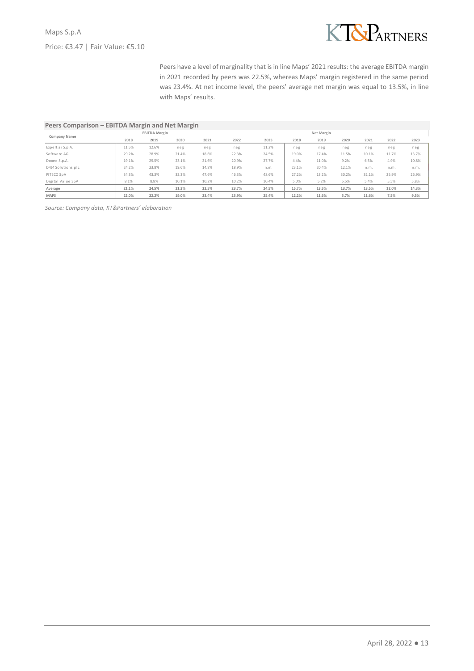

Peers have a level of marginality that is in line Maps' 2021 results: the average EBITDA margin in 2021 recorded by peers was 22.5%, whereas Maps' margin registered in the same period was 23.4%. At net income level, the peers' average net margin was equal to 13.5%, in line with Maps' results.

### **Peers Comparison – EBITDA Margin and Net Margin**

| Company Name       | <b>EBITDA Margin</b> |       |       |       | Net Margin |       |       |       |       |       |       |       |
|--------------------|----------------------|-------|-------|-------|------------|-------|-------|-------|-------|-------|-------|-------|
|                    | 2018                 | 2019  | 2020  | 2021  | 2022       | 2023  | 2018  | 2019  | 2020  | 2021  | 2022  | 2023  |
| Expert.ai S.p.A.   | 11.5%                | 12.6% | neg   | neg   | neg        | 11.2% | neg   | neg   | neg   | neg   | neg   | neg   |
| Software AG        | 29.2%                | 28.9% | 21.4% | 18.6% | 22.3%      | 24.5% | 19.0% | 17.4% | 11.5% | 10.1% | 11.7% | 13.7% |
| Doxee S.p.A.       | 19.1%                | 29.5% | 23.1% | 21.6% | 20.9%      | 27.7% | 4.4%  | 11.0% | 9.2%  | 6.5%  | 4.9%  | 10.8% |
| D4t4 Solutions plc | 24.2%                | 23.8% | 19.6% | 14.8% | 18.9%      | n.m.  | 23.1% | 20.4% | 12.1% | n.m.  | n.m.  | n.m.  |
| PITECO SpA         | 34.3%                | 43.3% | 32.3% | 47.6% | 46.3%      | 48.6% | 27.2% | 13.2% | 30.2% | 32.1% | 25.9% | 26.9% |
| Digital Value SpA  | 8.1%                 | 8.8%  | 10.1% | 10.2% | 10.2%      | 10.4% | 5.0%  | 5.2%  | 5.5%  | 5.4%  | 5.5%  | 5.8%  |
| Average            | 21.1%                | 24.5% | 21.3% | 22.5% | 23.7%      | 24.5% | 15.7% | 13.5% | 13.7% | 13.5% | 12.0% | 14.3% |
| <b>MAPS</b>        | 22.0%                | 22.2% | 19.0% | 23.4% | 23.9%      | 25.4% | 12.2% | 11.6% | 5.7%  | 11.6% | 7.5%  | 9.5%  |

*Source: Company data, KT&Partners' elaboration*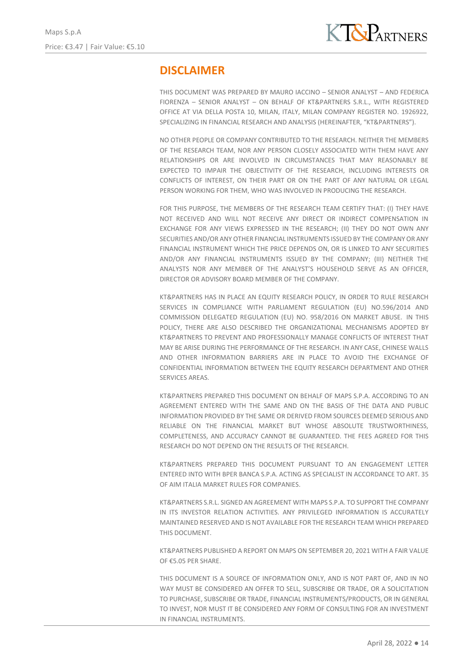## **DISCLAIMER**

THIS DOCUMENT WAS PREPARED BY MAURO IACCINO – SENIOR ANALYST – AND FEDERICA FIORENZA – SENIOR ANALYST – ON BEHALF OF KT&PARTNERS S.R.L., WITH REGISTERED OFFICE AT VIA DELLA POSTA 10, MILAN, ITALY, MILAN COMPANY REGISTER NO. 1926922, SPECIALIZING IN FINANCIAL RESEARCH AND ANALYSIS (HEREINAFTER, "KT&PARTNERS").

NO OTHER PEOPLE OR COMPANY CONTRIBUTED TO THE RESEARCH. NEITHER THE MEMBERS OF THE RESEARCH TEAM, NOR ANY PERSON CLOSELY ASSOCIATED WITH THEM HAVE ANY RELATIONSHIPS OR ARE INVOLVED IN CIRCUMSTANCES THAT MAY REASONABLY BE EXPECTED TO IMPAIR THE OBJECTIVITY OF THE RESEARCH, INCLUDING INTERESTS OR CONFLICTS OF INTEREST, ON THEIR PART OR ON THE PART OF ANY NATURAL OR LEGAL PERSON WORKING FOR THEM, WHO WAS INVOLVED IN PRODUCING THE RESEARCH.

FOR THIS PURPOSE, THE MEMBERS OF THE RESEARCH TEAM CERTIFY THAT: (I) THEY HAVE NOT RECEIVED AND WILL NOT RECEIVE ANY DIRECT OR INDIRECT COMPENSATION IN EXCHANGE FOR ANY VIEWS EXPRESSED IN THE RESEARCH; (II) THEY DO NOT OWN ANY SECURITIES AND/OR ANY OTHER FINANCIAL INSTRUMENTS ISSUED BY THE COMPANY OR ANY FINANCIAL INSTRUMENT WHICH THE PRICE DEPENDS ON, OR IS LINKED TO ANY SECURITIES AND/OR ANY FINANCIAL INSTRUMENTS ISSUED BY THE COMPANY; (III) NEITHER THE ANALYSTS NOR ANY MEMBER OF THE ANALYST'S HOUSEHOLD SERVE AS AN OFFICER, DIRECTOR OR ADVISORY BOARD MEMBER OF THE COMPANY.

KT&PARTNERS HAS IN PLACE AN EQUITY RESEARCH POLICY, IN ORDER TO RULE RESEARCH SERVICES IN COMPLIANCE WITH PARLIAMENT REGULATION (EU) NO.596/2014 AND COMMISSION DELEGATED REGULATION (EU) NO. 958/2016 ON MARKET ABUSE. IN THIS POLICY, THERE ARE ALSO DESCRIBED THE ORGANIZATIONAL MECHANISMS ADOPTED BY KT&PARTNERS TO PREVENT AND PROFESSIONALLY MANAGE CONFLICTS OF INTEREST THAT MAY BE ARISE DURING THE PERFORMANCE OF THE RESEARCH. IN ANY CASE, CHINESE WALLS AND OTHER INFORMATION BARRIERS ARE IN PLACE TO AVOID THE EXCHANGE OF CONFIDENTIAL INFORMATION BETWEEN THE EQUITY RESEARCH DEPARTMENT AND OTHER SERVICES AREAS.

KT&PARTNERS PREPARED THIS DOCUMENT ON BEHALF OF MAPS S.P.A. ACCORDING TO AN AGREEMENT ENTERED WITH THE SAME AND ON THE BASIS OF THE DATA AND PUBLIC INFORMATION PROVIDED BY THE SAME OR DERIVED FROM SOURCES DEEMED SERIOUS AND RELIABLE ON THE FINANCIAL MARKET BUT WHOSE ABSOLUTE TRUSTWORTHINESS, COMPLETENESS, AND ACCURACY CANNOT BE GUARANTEED. THE FEES AGREED FOR THIS RESEARCH DO NOT DEPEND ON THE RESULTS OF THE RESEARCH.

KT&PARTNERS PREPARED THIS DOCUMENT PURSUANT TO AN ENGAGEMENT LETTER ENTERED INTO WITH BPER BANCA S.P.A. ACTING AS SPECIALIST IN ACCORDANCE TO ART. 35 OF AIM ITALIA MARKET RULES FOR COMPANIES.

KT&PARTNERS S.R.L. SIGNED AN AGREEMENT WITH MAPS S.P.A. TO SUPPORT THE COMPANY IN ITS INVESTOR RELATION ACTIVITIES. ANY PRIVILEGED INFORMATION IS ACCURATELY MAINTAINED RESERVED AND IS NOT AVAILABLE FOR THE RESEARCH TEAM WHICH PREPARED THIS DOCUMENT.

KT&PARTNERS PUBLISHED A REPORT ON MAPS ON SEPTEMBER 20, 2021 WITH A FAIR VALUE OF €5.05 PER SHARE.

THIS DOCUMENT IS A SOURCE OF INFORMATION ONLY, AND IS NOT PART OF, AND IN NO WAY MUST BE CONSIDERED AN OFFER TO SELL, SUBSCRIBE OR TRADE, OR A SOLICITATION TO PURCHASE, SUBSCRIBE OR TRADE, FINANCIAL INSTRUMENTS/PRODUCTS, OR IN GENERAL TO INVEST, NOR MUST IT BE CONSIDERED ANY FORM OF CONSULTING FOR AN INVESTMENT IN FINANCIAL INSTRUMENTS.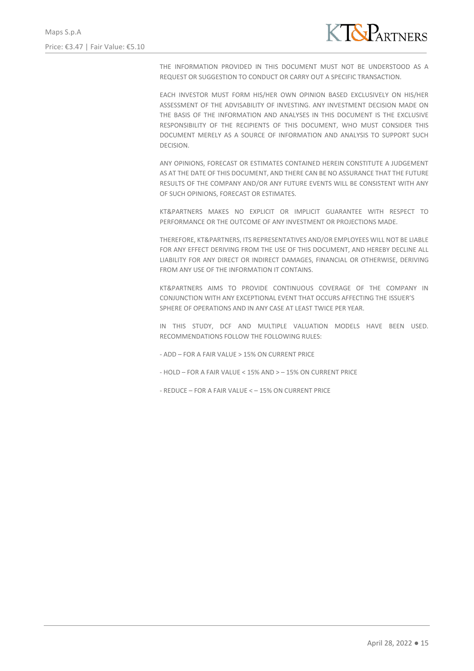

THE INFORMATION PROVIDED IN THIS DOCUMENT MUST NOT BE UNDERSTOOD AS A REQUEST OR SUGGESTION TO CONDUCT OR CARRY OUT A SPECIFIC TRANSACTION.

EACH INVESTOR MUST FORM HIS/HER OWN OPINION BASED EXCLUSIVELY ON HIS/HER ASSESSMENT OF THE ADVISABILITY OF INVESTING. ANY INVESTMENT DECISION MADE ON THE BASIS OF THE INFORMATION AND ANALYSES IN THIS DOCUMENT IS THE EXCLUSIVE RESPONSIBILITY OF THE RECIPIENTS OF THIS DOCUMENT, WHO MUST CONSIDER THIS DOCUMENT MERELY AS A SOURCE OF INFORMATION AND ANALYSIS TO SUPPORT SUCH DECISION.

ANY OPINIONS, FORECAST OR ESTIMATES CONTAINED HEREIN CONSTITUTE A JUDGEMENT AS AT THE DATE OF THIS DOCUMENT, AND THERE CAN BE NO ASSURANCE THAT THE FUTURE RESULTS OF THE COMPANY AND/OR ANY FUTURE EVENTS WILL BE CONSISTENT WITH ANY OF SUCH OPINIONS, FORECAST OR ESTIMATES.

KT&PARTNERS MAKES NO EXPLICIT OR IMPLICIT GUARANTEE WITH RESPECT TO PERFORMANCE OR THE OUTCOME OF ANY INVESTMENT OR PROJECTIONS MADE.

THEREFORE, KT&PARTNERS, ITS REPRESENTATIVES AND/OR EMPLOYEES WILL NOT BE LIABLE FOR ANY EFFECT DERIVING FROM THE USE OF THIS DOCUMENT, AND HEREBY DECLINE ALL LIABILITY FOR ANY DIRECT OR INDIRECT DAMAGES, FINANCIAL OR OTHERWISE, DERIVING FROM ANY USE OF THE INFORMATION IT CONTAINS.

KT&PARTNERS AIMS TO PROVIDE CONTINUOUS COVERAGE OF THE COMPANY IN CONJUNCTION WITH ANY EXCEPTIONAL EVENT THAT OCCURS AFFECTING THE ISSUER'S SPHERE OF OPERATIONS AND IN ANY CASE AT LEAST TWICE PER YEAR.

IN THIS STUDY, DCF AND MULTIPLE VALUATION MODELS HAVE BEEN USED. RECOMMENDATIONS FOLLOW THE FOLLOWING RULES:

- ADD – FOR A FAIR VALUE > 15% ON CURRENT PRICE

- HOLD FOR A FAIR VALUE < 15% AND > 15% ON CURRENT PRICE
- REDUCE FOR A FAIR VALUE < 15% ON CURRENT PRICE